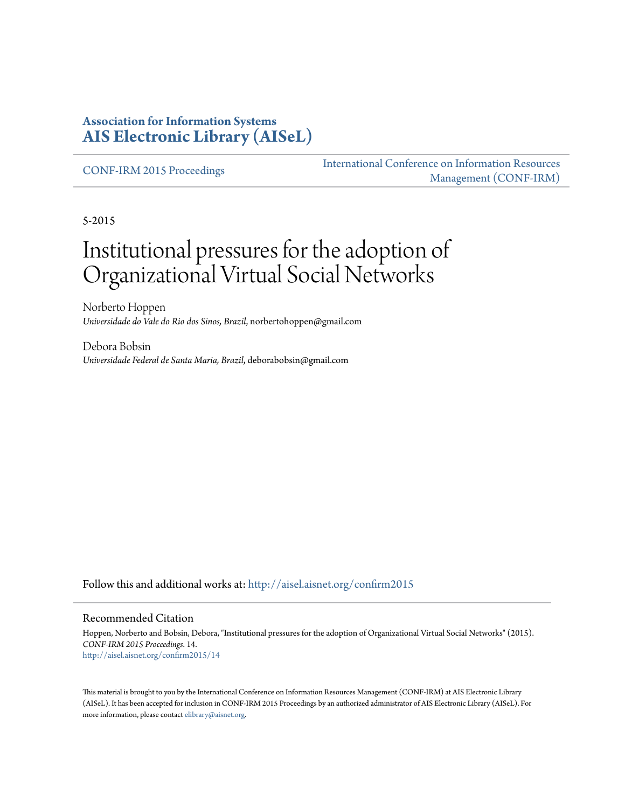#### **Association for Information Systems [AIS Electronic Library \(AISeL\)](http://aisel.aisnet.org?utm_source=aisel.aisnet.org%2Fconfirm2015%2F14&utm_medium=PDF&utm_campaign=PDFCoverPages)**

[CONF-IRM 2015 Proceedings](http://aisel.aisnet.org/confirm2015?utm_source=aisel.aisnet.org%2Fconfirm2015%2F14&utm_medium=PDF&utm_campaign=PDFCoverPages)

[International Conference on Information Resources](http://aisel.aisnet.org/conf-irm?utm_source=aisel.aisnet.org%2Fconfirm2015%2F14&utm_medium=PDF&utm_campaign=PDFCoverPages) [Management \(CONF-IRM\)](http://aisel.aisnet.org/conf-irm?utm_source=aisel.aisnet.org%2Fconfirm2015%2F14&utm_medium=PDF&utm_campaign=PDFCoverPages)

5-2015

# Institutional pressures for the adoption of Organizational Virtual Social Networks

Norberto Hoppen *Universidade do Vale do Rio dos Sinos, Brazil*, norbertohoppen@gmail.com

Debora Bobsin *Universidade Federal de Santa Maria, Brazil*, deborabobsin@gmail.com

Follow this and additional works at: [http://aisel.aisnet.org/confirm2015](http://aisel.aisnet.org/confirm2015?utm_source=aisel.aisnet.org%2Fconfirm2015%2F14&utm_medium=PDF&utm_campaign=PDFCoverPages)

#### Recommended Citation

Hoppen, Norberto and Bobsin, Debora, "Institutional pressures for the adoption of Organizational Virtual Social Networks" (2015). *CONF-IRM 2015 Proceedings*. 14. [http://aisel.aisnet.org/confirm2015/14](http://aisel.aisnet.org/confirm2015/14?utm_source=aisel.aisnet.org%2Fconfirm2015%2F14&utm_medium=PDF&utm_campaign=PDFCoverPages)

This material is brought to you by the International Conference on Information Resources Management (CONF-IRM) at AIS Electronic Library (AISeL). It has been accepted for inclusion in CONF-IRM 2015 Proceedings by an authorized administrator of AIS Electronic Library (AISeL). For more information, please contact [elibrary@aisnet.org.](mailto:elibrary@aisnet.org%3E)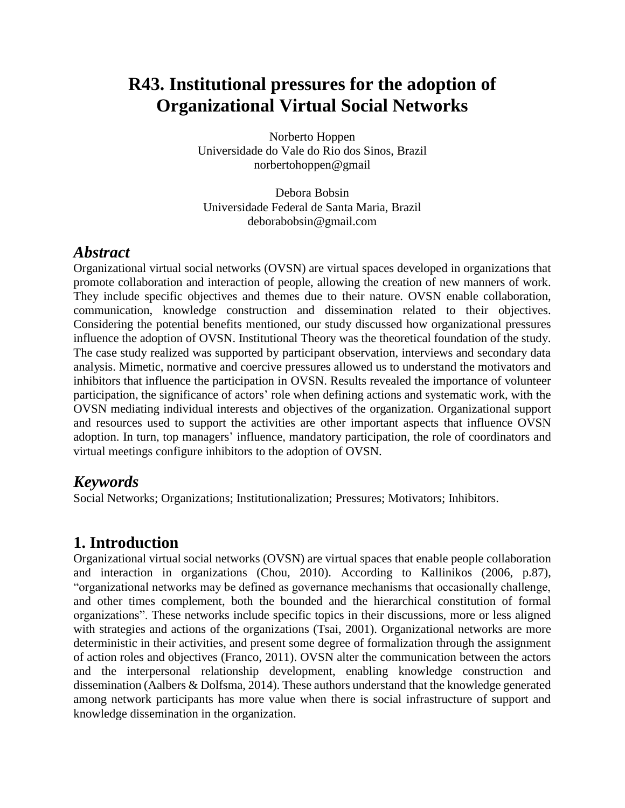## **R43. Institutional pressures for the adoption of Organizational Virtual Social Networks**

Norberto Hoppen Universidade do Vale do Rio dos Sinos, Brazil norbertohoppen@gmail

Debora Bobsin Universidade Federal de Santa Maria, Brazil deborabobsin@gmail.com

#### *Abstract*

Organizational virtual social networks (OVSN) are virtual spaces developed in organizations that promote collaboration and interaction of people, allowing the creation of new manners of work. They include specific objectives and themes due to their nature. OVSN enable collaboration, communication, knowledge construction and dissemination related to their objectives. Considering the potential benefits mentioned, our study discussed how organizational pressures influence the adoption of OVSN. Institutional Theory was the theoretical foundation of the study. The case study realized was supported by participant observation, interviews and secondary data analysis. Mimetic, normative and coercive pressures allowed us to understand the motivators and inhibitors that influence the participation in OVSN. Results revealed the importance of volunteer participation, the significance of actors' role when defining actions and systematic work, with the OVSN mediating individual interests and objectives of the organization. Organizational support and resources used to support the activities are other important aspects that influence OVSN adoption. In turn, top managers' influence, mandatory participation, the role of coordinators and virtual meetings configure inhibitors to the adoption of OVSN.

#### *Keywords*

Social Networks; Organizations; Institutionalization; Pressures; Motivators; Inhibitors.

#### **1. Introduction**

Organizational virtual social networks (OVSN) are virtual spaces that enable people collaboration and interaction in organizations (Chou, 2010). According to Kallinikos (2006, p.87), "organizational networks may be defined as governance mechanisms that occasionally challenge, and other times complement, both the bounded and the hierarchical constitution of formal organizations". These networks include specific topics in their discussions, more or less aligned with strategies and actions of the organizations (Tsai, 2001). Organizational networks are more deterministic in their activities, and present some degree of formalization through the assignment of action roles and objectives (Franco, 2011). OVSN alter the communication between the actors and the interpersonal relationship development, enabling knowledge construction and dissemination (Aalbers & Dolfsma, 2014). These authors understand that the knowledge generated among network participants has more value when there is social infrastructure of support and knowledge dissemination in the organization.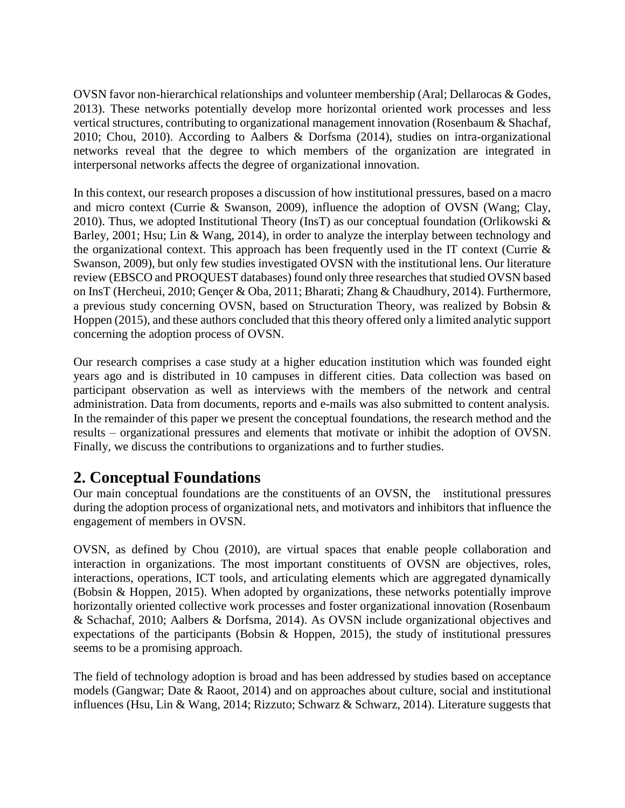OVSN favor non-hierarchical relationships and volunteer membership (Aral; Dellarocas & Godes, 2013). These networks potentially develop more horizontal oriented work processes and less vertical structures, contributing to organizational management innovation (Rosenbaum & Shachaf, 2010; Chou, 2010). According to Aalbers & Dorfsma (2014), studies on intra-organizational networks reveal that the degree to which members of the organization are integrated in interpersonal networks affects the degree of organizational innovation.

In this context, our research proposes a discussion of how institutional pressures, based on a macro and micro context (Currie & Swanson, 2009), influence the adoption of OVSN (Wang; Clay, 2010). Thus, we adopted Institutional Theory (InsT) as our conceptual foundation (Orlikowski & Barley, 2001; Hsu; Lin & Wang, 2014), in order to analyze the interplay between technology and the organizational context. This approach has been frequently used in the IT context (Currie & Swanson, 2009), but only few studies investigated OVSN with the institutional lens. Our literature review (EBSCO and PROQUEST databases) found only three researches that studied OVSN based on InsT (Hercheui, 2010; Gençer & Oba, 2011; Bharati; Zhang & Chaudhury, 2014). Furthermore, a previous study concerning OVSN, based on Structuration Theory, was realized by Bobsin & Hoppen (2015), and these authors concluded that this theory offered only a limited analytic support concerning the adoption process of OVSN.

Our research comprises a case study at a higher education institution which was founded eight years ago and is distributed in 10 campuses in different cities. Data collection was based on participant observation as well as interviews with the members of the network and central administration. Data from documents, reports and e-mails was also submitted to content analysis. In the remainder of this paper we present the conceptual foundations, the research method and the results – organizational pressures and elements that motivate or inhibit the adoption of OVSN. Finally, we discuss the contributions to organizations and to further studies.

#### **2. Conceptual Foundations**

Our main conceptual foundations are the constituents of an OVSN, the institutional pressures during the adoption process of organizational nets, and motivators and inhibitors that influence the engagement of members in OVSN.

OVSN, as defined by Chou (2010), are virtual spaces that enable people collaboration and interaction in organizations. The most important constituents of OVSN are objectives, roles, interactions, operations, ICT tools, and articulating elements which are aggregated dynamically (Bobsin & Hoppen, 2015). When adopted by organizations, these networks potentially improve horizontally oriented collective work processes and foster organizational innovation (Rosenbaum & Schachaf, 2010; Aalbers & Dorfsma, 2014). As OVSN include organizational objectives and expectations of the participants (Bobsin  $\&$  Hoppen, 2015), the study of institutional pressures seems to be a promising approach.

The field of technology adoption is broad and has been addressed by studies based on acceptance models (Gangwar; Date & Raoot, 2014) and on approaches about culture, social and institutional influences (Hsu, Lin & Wang, 2014; Rizzuto; Schwarz & Schwarz, 2014). Literature suggests that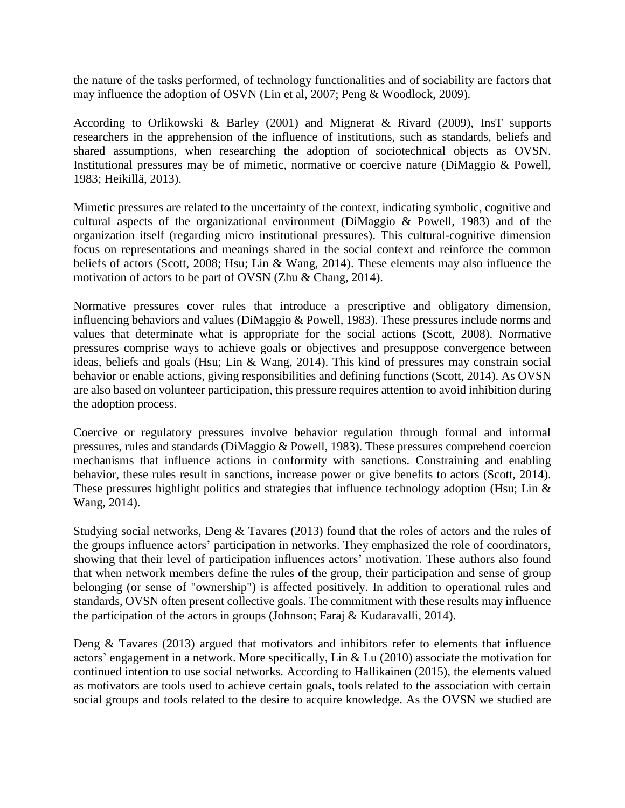the nature of the tasks performed, of technology functionalities and of sociability are factors that may influence the adoption of OSVN (Lin et al, 2007; Peng & Woodlock, 2009).

According to Orlikowski & Barley (2001) and Mignerat & Rivard (2009), InsT supports researchers in the apprehension of the influence of institutions, such as standards, beliefs and shared assumptions, when researching the adoption of sociotechnical objects as OVSN. Institutional pressures may be of mimetic, normative or coercive nature (DiMaggio & Powell, 1983; Heikillä, 2013).

Mimetic pressures are related to the uncertainty of the context, indicating symbolic, cognitive and cultural aspects of the organizational environment (DiMaggio & Powell, 1983) and of the organization itself (regarding micro institutional pressures). This cultural-cognitive dimension focus on representations and meanings shared in the social context and reinforce the common beliefs of actors (Scott, 2008; Hsu; Lin & Wang, 2014). These elements may also influence the motivation of actors to be part of OVSN (Zhu & Chang, 2014).

Normative pressures cover rules that introduce a prescriptive and obligatory dimension, influencing behaviors and values (DiMaggio & Powell, 1983). These pressures include norms and values that determinate what is appropriate for the social actions (Scott, 2008). Normative pressures comprise ways to achieve goals or objectives and presuppose convergence between ideas, beliefs and goals (Hsu; Lin & Wang, 2014). This kind of pressures may constrain social behavior or enable actions, giving responsibilities and defining functions (Scott, 2014). As OVSN are also based on volunteer participation, this pressure requires attention to avoid inhibition during the adoption process.

Coercive or regulatory pressures involve behavior regulation through formal and informal pressures, rules and standards (DiMaggio & Powell, 1983). These pressures comprehend coercion mechanisms that influence actions in conformity with sanctions. Constraining and enabling behavior, these rules result in sanctions, increase power or give benefits to actors (Scott, 2014). These pressures highlight politics and strategies that influence technology adoption (Hsu; Lin & Wang, 2014).

Studying social networks, Deng & Tavares (2013) found that the roles of actors and the rules of the groups influence actors' participation in networks. They emphasized the role of coordinators, showing that their level of participation influences actors' motivation. These authors also found that when network members define the rules of the group, their participation and sense of group belonging (or sense of "ownership") is affected positively. In addition to operational rules and standards, OVSN often present collective goals. The commitment with these results may influence the participation of the actors in groups (Johnson; Faraj & Kudaravalli, 2014).

Deng & Tavares (2013) argued that motivators and inhibitors refer to elements that influence actors' engagement in a network. More specifically, Lin & Lu (2010) associate the motivation for continued intention to use social networks. According to Hallikainen (2015), the elements valued as motivators are tools used to achieve certain goals, tools related to the association with certain social groups and tools related to the desire to acquire knowledge. As the OVSN we studied are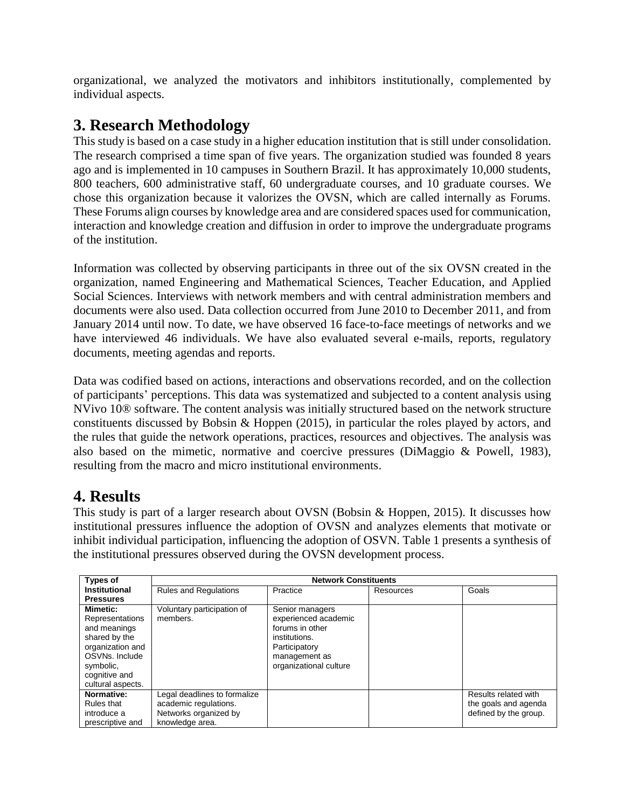organizational, we analyzed the motivators and inhibitors institutionally, complemented by individual aspects.

#### **3. Research Methodology**

This study is based on a case study in a higher education institution that is still under consolidation. The research comprised a time span of five years. The organization studied was founded 8 years ago and is implemented in 10 campuses in Southern Brazil. It has approximately 10,000 students, 800 teachers, 600 administrative staff, 60 undergraduate courses, and 10 graduate courses. We chose this organization because it valorizes the OVSN, which are called internally as Forums. These Forums align courses by knowledge area and are considered spaces used for communication, interaction and knowledge creation and diffusion in order to improve the undergraduate programs of the institution.

Information was collected by observing participants in three out of the six OVSN created in the organization, named Engineering and Mathematical Sciences, Teacher Education, and Applied Social Sciences. Interviews with network members and with central administration members and documents were also used. Data collection occurred from June 2010 to December 2011, and from January 2014 until now. To date, we have observed 16 face-to-face meetings of networks and we have interviewed 46 individuals. We have also evaluated several e-mails, reports, regulatory documents, meeting agendas and reports.

Data was codified based on actions, interactions and observations recorded, and on the collection of participants' perceptions. This data was systematized and subjected to a content analysis using NVivo 10® software. The content analysis was initially structured based on the network structure constituents discussed by Bobsin & Hoppen (2015), in particular the roles played by actors, and the rules that guide the network operations, practices, resources and objectives. The analysis was also based on the mimetic, normative and coercive pressures (DiMaggio & Powell, 1983), resulting from the macro and micro institutional environments.

### **4. Results**

This study is part of a larger research about OVSN (Bobsin & Hoppen, 2015). It discusses how institutional pressures influence the adoption of OVSN and analyzes elements that motivate or inhibit individual participation, influencing the adoption of OSVN. Table 1 presents a synthesis of the institutional pressures observed during the OVSN development process.

| <b>Types of</b>                                                                                                                         | <b>Network Constituents</b>                                       |                                                                                                                                         |           |                                               |  |  |
|-----------------------------------------------------------------------------------------------------------------------------------------|-------------------------------------------------------------------|-----------------------------------------------------------------------------------------------------------------------------------------|-----------|-----------------------------------------------|--|--|
| Institutional                                                                                                                           | <b>Rules and Regulations</b>                                      | Practice                                                                                                                                | Resources | Goals                                         |  |  |
| <b>Pressures</b>                                                                                                                        |                                                                   |                                                                                                                                         |           |                                               |  |  |
| <b>Mimetic:</b><br>Representations<br>and meanings<br>shared by the<br>organization and<br>OSVNs. Include<br>symbolic,<br>cognitive and | Voluntary participation of<br>members.                            | Senior managers<br>experienced academic<br>forums in other<br>institutions.<br>Participatory<br>management as<br>organizational culture |           |                                               |  |  |
| cultural aspects.<br>Normative:                                                                                                         | Legal deadlines to formalize                                      |                                                                                                                                         |           | Results related with                          |  |  |
| Rules that<br>introduce a<br>prescriptive and                                                                                           | academic regulations.<br>Networks organized by<br>knowledge area. |                                                                                                                                         |           | the goals and agenda<br>defined by the group. |  |  |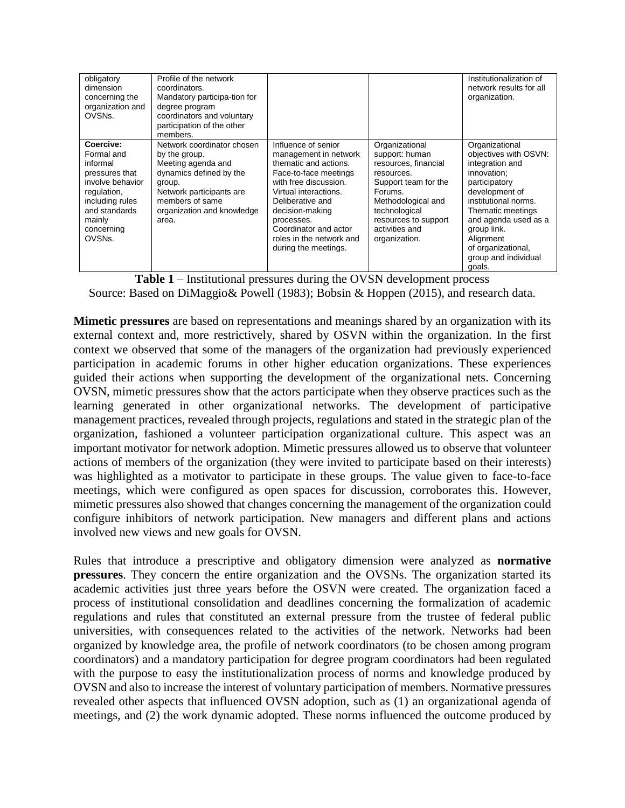| obligatory<br>dimension<br>concerning the<br>organization and<br>OVSNs.                                                                                        | Profile of the network<br>coordinators.<br>Mandatory participa-tion for<br>degree program<br>coordinators and voluntary<br>participation of the other<br>members.                            |                                                                                                                                                                                                                                                                                    |                                                                                                                                                                                                             | Institutionalization of<br>network results for all<br>organization.                                                                                                                                                                                                   |
|----------------------------------------------------------------------------------------------------------------------------------------------------------------|----------------------------------------------------------------------------------------------------------------------------------------------------------------------------------------------|------------------------------------------------------------------------------------------------------------------------------------------------------------------------------------------------------------------------------------------------------------------------------------|-------------------------------------------------------------------------------------------------------------------------------------------------------------------------------------------------------------|-----------------------------------------------------------------------------------------------------------------------------------------------------------------------------------------------------------------------------------------------------------------------|
| Coercive:<br>Formal and<br>informal<br>pressures that<br>involve behavior<br>regulation,<br>including rules<br>and standards<br>mainly<br>concerning<br>OVSNs. | Network coordinator chosen<br>by the group.<br>Meeting agenda and<br>dynamics defined by the<br>group.<br>Network participants are<br>members of same<br>organization and knowledge<br>area. | Influence of senior<br>management in network<br>thematic and actions.<br>Face-to-face meetings<br>with free discussion.<br>Virtual interactions.<br>Deliberative and<br>decision-making<br>processes.<br>Coordinator and actor<br>roles in the network and<br>during the meetings. | Organizational<br>support: human<br>resources, financial<br>resources.<br>Support team for the<br>Forums.<br>Methodological and<br>technological<br>resources to support<br>activities and<br>organization. | Organizational<br>objectives with OSVN:<br>integration and<br>innovation:<br>participatory<br>development of<br>institutional norms.<br>Thematic meetings<br>and agenda used as a<br>group link.<br>Alignment<br>of organizational,<br>group and individual<br>goals. |

**Table 1** – Institutional pressures during the OVSN development process Source: Based on DiMaggio& Powell (1983); Bobsin & Hoppen (2015), and research data.

**Mimetic pressures** are based on representations and meanings shared by an organization with its external context and, more restrictively, shared by OSVN within the organization. In the first context we observed that some of the managers of the organization had previously experienced participation in academic forums in other higher education organizations. These experiences guided their actions when supporting the development of the organizational nets. Concerning OVSN, mimetic pressures show that the actors participate when they observe practices such as the learning generated in other organizational networks. The development of participative management practices, revealed through projects, regulations and stated in the strategic plan of the organization, fashioned a volunteer participation organizational culture. This aspect was an important motivator for network adoption. Mimetic pressures allowed us to observe that volunteer actions of members of the organization (they were invited to participate based on their interests) was highlighted as a motivator to participate in these groups. The value given to face-to-face meetings, which were configured as open spaces for discussion, corroborates this. However, mimetic pressures also showed that changes concerning the management of the organization could configure inhibitors of network participation. New managers and different plans and actions involved new views and new goals for OVSN.

Rules that introduce a prescriptive and obligatory dimension were analyzed as **normative pressures**. They concern the entire organization and the OVSNs. The organization started its academic activities just three years before the OSVN were created. The organization faced a process of institutional consolidation and deadlines concerning the formalization of academic regulations and rules that constituted an external pressure from the trustee of federal public universities, with consequences related to the activities of the network. Networks had been organized by knowledge area, the profile of network coordinators (to be chosen among program coordinators) and a mandatory participation for degree program coordinators had been regulated with the purpose to easy the institutionalization process of norms and knowledge produced by OVSN and also to increase the interest of voluntary participation of members. Normative pressures revealed other aspects that influenced OVSN adoption, such as (1) an organizational agenda of meetings, and (2) the work dynamic adopted. These norms influenced the outcome produced by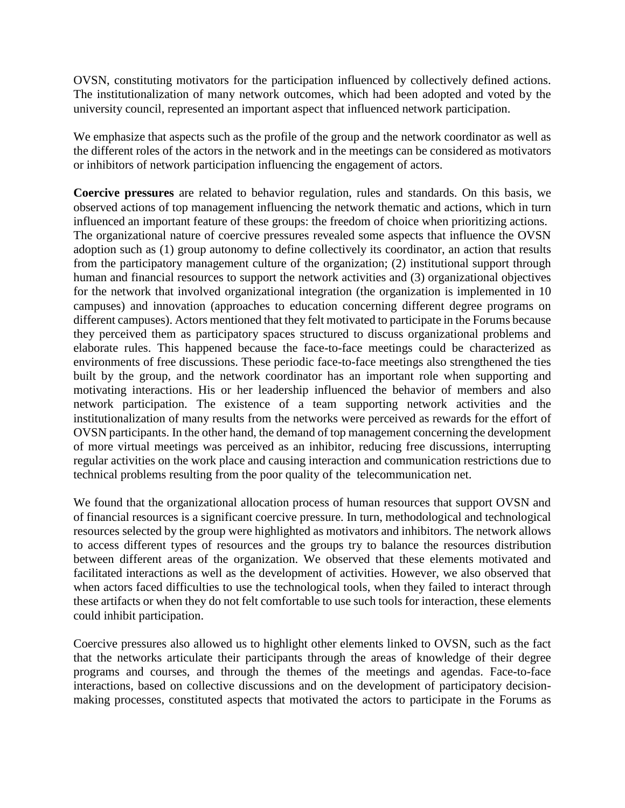OVSN, constituting motivators for the participation influenced by collectively defined actions. The institutionalization of many network outcomes, which had been adopted and voted by the university council, represented an important aspect that influenced network participation.

We emphasize that aspects such as the profile of the group and the network coordinator as well as the different roles of the actors in the network and in the meetings can be considered as motivators or inhibitors of network participation influencing the engagement of actors.

**Coercive pressures** are related to behavior regulation, rules and standards. On this basis, we observed actions of top management influencing the network thematic and actions, which in turn influenced an important feature of these groups: the freedom of choice when prioritizing actions. The organizational nature of coercive pressures revealed some aspects that influence the OVSN adoption such as (1) group autonomy to define collectively its coordinator, an action that results from the participatory management culture of the organization; (2) institutional support through human and financial resources to support the network activities and (3) organizational objectives for the network that involved organizational integration (the organization is implemented in 10 campuses) and innovation (approaches to education concerning different degree programs on different campuses). Actors mentioned that they felt motivated to participate in the Forums because they perceived them as participatory spaces structured to discuss organizational problems and elaborate rules. This happened because the face-to-face meetings could be characterized as environments of free discussions. These periodic face-to-face meetings also strengthened the ties built by the group, and the network coordinator has an important role when supporting and motivating interactions. His or her leadership influenced the behavior of members and also network participation. The existence of a team supporting network activities and the institutionalization of many results from the networks were perceived as rewards for the effort of OVSN participants. In the other hand, the demand of top management concerning the development of more virtual meetings was perceived as an inhibitor, reducing free discussions, interrupting regular activities on the work place and causing interaction and communication restrictions due to technical problems resulting from the poor quality of the telecommunication net.

We found that the organizational allocation process of human resources that support OVSN and of financial resources is a significant coercive pressure. In turn, methodological and technological resources selected by the group were highlighted as motivators and inhibitors. The network allows to access different types of resources and the groups try to balance the resources distribution between different areas of the organization. We observed that these elements motivated and facilitated interactions as well as the development of activities. However, we also observed that when actors faced difficulties to use the technological tools, when they failed to interact through these artifacts or when they do not felt comfortable to use such tools for interaction, these elements could inhibit participation.

Coercive pressures also allowed us to highlight other elements linked to OVSN, such as the fact that the networks articulate their participants through the areas of knowledge of their degree programs and courses, and through the themes of the meetings and agendas. Face-to-face interactions, based on collective discussions and on the development of participatory decisionmaking processes, constituted aspects that motivated the actors to participate in the Forums as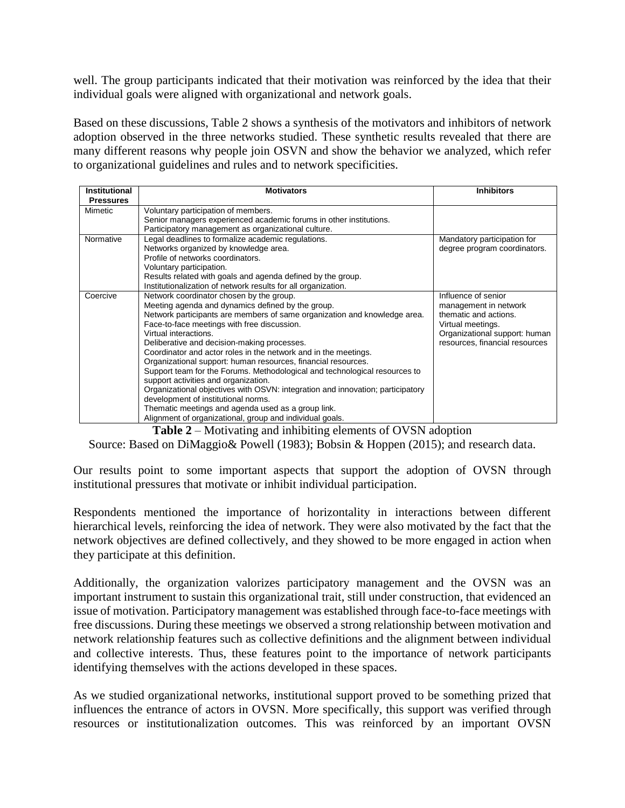well. The group participants indicated that their motivation was reinforced by the idea that their individual goals were aligned with organizational and network goals.

Based on these discussions, Table 2 shows a synthesis of the motivators and inhibitors of network adoption observed in the three networks studied. These synthetic results revealed that there are many different reasons why people join OSVN and show the behavior we analyzed, which refer to organizational guidelines and rules and to network specificities.

| <b>Institutional</b> | <b>Motivators</b>                                                              | <b>Inhibitors</b>              |
|----------------------|--------------------------------------------------------------------------------|--------------------------------|
| <b>Pressures</b>     |                                                                                |                                |
| Mimetic              | Voluntary participation of members.                                            |                                |
|                      | Senior managers experienced academic forums in other institutions.             |                                |
|                      | Participatory management as organizational culture.                            |                                |
| Normative            | Legal deadlines to formalize academic regulations.                             | Mandatory participation for    |
|                      | Networks organized by knowledge area.                                          | degree program coordinators.   |
|                      | Profile of networks coordinators.                                              |                                |
|                      | Voluntary participation.                                                       |                                |
|                      | Results related with goals and agenda defined by the group.                    |                                |
|                      | Institutionalization of network results for all organization.                  |                                |
| Coercive             | Network coordinator chosen by the group.                                       | Influence of senior            |
|                      | Meeting agenda and dynamics defined by the group.                              | management in network          |
|                      | Network participants are members of same organization and knowledge area.      | thematic and actions.          |
|                      | Face-to-face meetings with free discussion.                                    | Virtual meetings.              |
|                      | Virtual interactions.                                                          | Organizational support: human  |
|                      | Deliberative and decision-making processes.                                    | resources, financial resources |
|                      | Coordinator and actor roles in the network and in the meetings.                |                                |
|                      | Organizational support: human resources, financial resources.                  |                                |
|                      | Support team for the Forums. Methodological and technological resources to     |                                |
|                      | support activities and organization.                                           |                                |
|                      | Organizational objectives with OSVN: integration and innovation; participatory |                                |
|                      | development of institutional norms.                                            |                                |
|                      | Thematic meetings and agenda used as a group link.                             |                                |
|                      | Alignment of organizational, group and individual goals.                       |                                |

**Table 2** – Motivating and inhibiting elements of OVSN adoption

Source: Based on DiMaggio& Powell (1983); Bobsin & Hoppen (2015); and research data.

Our results point to some important aspects that support the adoption of OVSN through institutional pressures that motivate or inhibit individual participation.

Respondents mentioned the importance of horizontality in interactions between different hierarchical levels, reinforcing the idea of network. They were also motivated by the fact that the network objectives are defined collectively, and they showed to be more engaged in action when they participate at this definition.

Additionally, the organization valorizes participatory management and the OVSN was an important instrument to sustain this organizational trait, still under construction, that evidenced an issue of motivation. Participatory management was established through face-to-face meetings with free discussions. During these meetings we observed a strong relationship between motivation and network relationship features such as collective definitions and the alignment between individual and collective interests. Thus, these features point to the importance of network participants identifying themselves with the actions developed in these spaces.

As we studied organizational networks, institutional support proved to be something prized that influences the entrance of actors in OVSN. More specifically, this support was verified through resources or institutionalization outcomes. This was reinforced by an important OVSN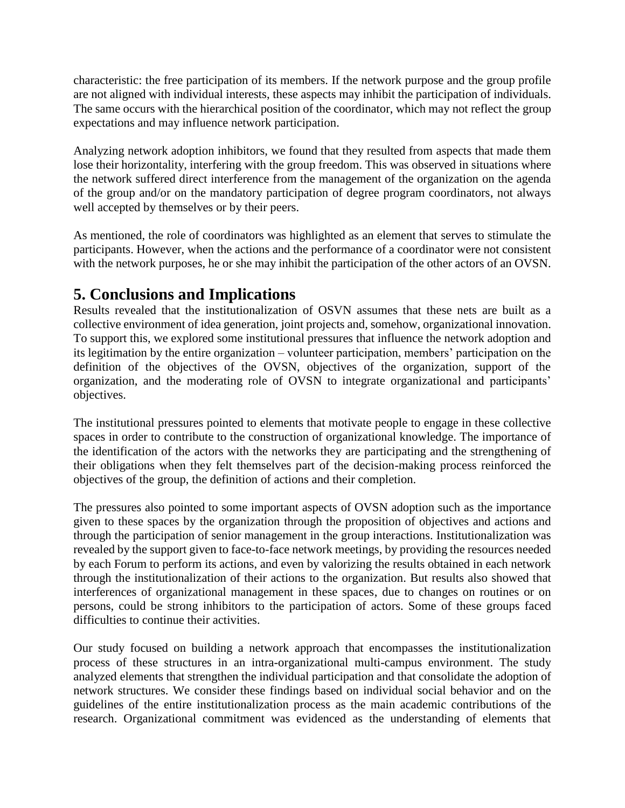characteristic: the free participation of its members. If the network purpose and the group profile are not aligned with individual interests, these aspects may inhibit the participation of individuals. The same occurs with the hierarchical position of the coordinator, which may not reflect the group expectations and may influence network participation.

Analyzing network adoption inhibitors, we found that they resulted from aspects that made them lose their horizontality, interfering with the group freedom. This was observed in situations where the network suffered direct interference from the management of the organization on the agenda of the group and/or on the mandatory participation of degree program coordinators, not always well accepted by themselves or by their peers.

As mentioned, the role of coordinators was highlighted as an element that serves to stimulate the participants. However, when the actions and the performance of a coordinator were not consistent with the network purposes, he or she may inhibit the participation of the other actors of an OVSN.

#### **5. Conclusions and Implications**

Results revealed that the institutionalization of OSVN assumes that these nets are built as a collective environment of idea generation, joint projects and, somehow, organizational innovation. To support this, we explored some institutional pressures that influence the network adoption and its legitimation by the entire organization – volunteer participation, members' participation on the definition of the objectives of the OVSN, objectives of the organization, support of the organization, and the moderating role of OVSN to integrate organizational and participants' objectives.

The institutional pressures pointed to elements that motivate people to engage in these collective spaces in order to contribute to the construction of organizational knowledge. The importance of the identification of the actors with the networks they are participating and the strengthening of their obligations when they felt themselves part of the decision-making process reinforced the objectives of the group, the definition of actions and their completion.

The pressures also pointed to some important aspects of OVSN adoption such as the importance given to these spaces by the organization through the proposition of objectives and actions and through the participation of senior management in the group interactions. Institutionalization was revealed by the support given to face-to-face network meetings, by providing the resources needed by each Forum to perform its actions, and even by valorizing the results obtained in each network through the institutionalization of their actions to the organization. But results also showed that interferences of organizational management in these spaces, due to changes on routines or on persons, could be strong inhibitors to the participation of actors. Some of these groups faced difficulties to continue their activities.

Our study focused on building a network approach that encompasses the institutionalization process of these structures in an intra-organizational multi-campus environment. The study analyzed elements that strengthen the individual participation and that consolidate the adoption of network structures. We consider these findings based on individual social behavior and on the guidelines of the entire institutionalization process as the main academic contributions of the research. Organizational commitment was evidenced as the understanding of elements that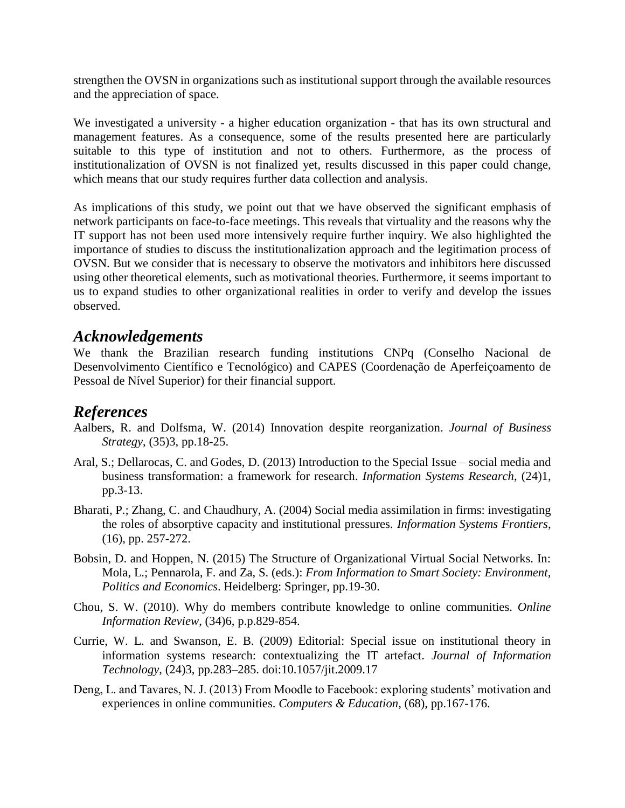strengthen the OVSN in organizations such as institutional support through the available resources and the appreciation of space.

We investigated a university - a higher education organization - that has its own structural and management features. As a consequence, some of the results presented here are particularly suitable to this type of institution and not to others. Furthermore, as the process of institutionalization of OVSN is not finalized yet, results discussed in this paper could change, which means that our study requires further data collection and analysis.

As implications of this study, we point out that we have observed the significant emphasis of network participants on face-to-face meetings. This reveals that virtuality and the reasons why the IT support has not been used more intensively require further inquiry. We also highlighted the importance of studies to discuss the institutionalization approach and the legitimation process of OVSN. But we consider that is necessary to observe the motivators and inhibitors here discussed using other theoretical elements, such as motivational theories. Furthermore, it seems important to us to expand studies to other organizational realities in order to verify and develop the issues observed.

#### *Acknowledgements*

We thank the Brazilian research funding institutions CNPq (Conselho Nacional de Desenvolvimento Científico e Tecnológico) and CAPES (Coordenação de Aperfeiçoamento de Pessoal de Nível Superior) for their financial support.

#### *References*

- Aalbers, R. and Dolfsma, W. (2014) Innovation despite reorganization. *Journal of Business Strategy*, (35)3, pp.18-25.
- Aral, S.; Dellarocas, C. and Godes, D. (2013) Introduction to the Special Issue social media and business transformation: a framework for research. *Information Systems Research*, (24)1, pp.3-13.
- Bharati, P.; Zhang, C. and Chaudhury, A. (2004) Social media assimilation in firms: investigating the roles of absorptive capacity and institutional pressures. *Information Systems Frontiers*, (16), pp. 257-272.
- Bobsin, D. and Hoppen, N. (2015) The Structure of Organizational Virtual Social Networks. In: Mola, L.; Pennarola, F. and Za, S. (eds.): *From Information to Smart Society: Environment, Politics and Economics*. Heidelberg: Springer, pp.19-30.
- Chou, S. W. (2010). Why do members contribute knowledge to online communities. *Online Information Review*, (34)6, p.p.829-854.
- Currie, W. L. and Swanson, E. B. (2009) Editorial: Special issue on institutional theory in information systems research: contextualizing the IT artefact. *Journal of Information Technology*, (24)3, pp.283–285. doi:10.1057/jit.2009.17
- Deng, L. and Tavares, N. J. (2013) From Moodle to Facebook: exploring students' motivation and experiences in online communities. *Computers & Education*, (68), pp.167-176.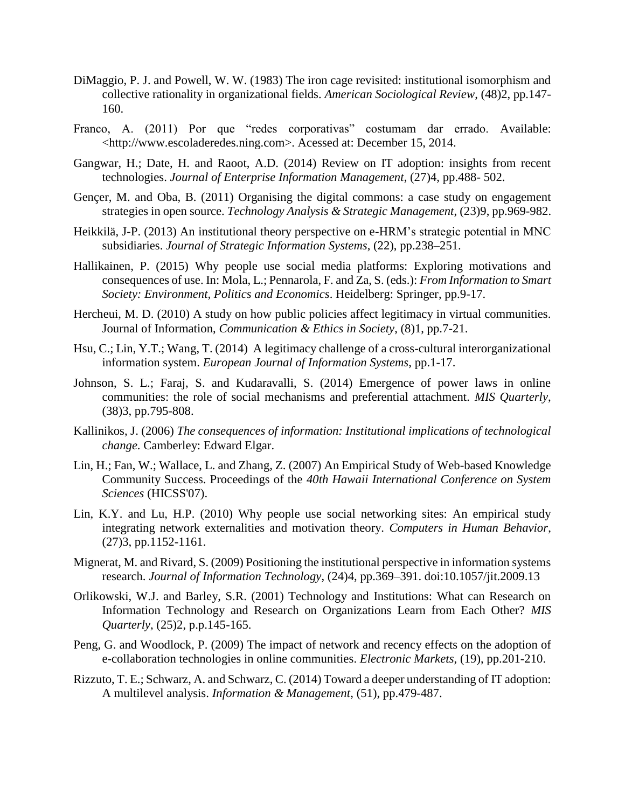- DiMaggio, P. J. and Powell, W. W. (1983) The iron cage revisited: institutional isomorphism and collective rationality in organizational fields. *American Sociological Review*, (48)2, pp.147- 160.
- Franco, A. (2011) Por que "redes corporativas" costumam dar errado. Available: <http://www.escoladeredes.ning.com>. Acessed at: December 15, 2014.
- Gangwar, H.; Date, H. and Raoot, A.D. (2014) Review on IT adoption: insights from recent technologies. *Journal of Enterprise Information Management*, (27)4, pp.488- 502.
- Gençer, M. and Oba, B. (2011) Organising the digital commons: a case study on engagement strategies in open source. *Technology Analysis & Strategic Management*, (23)9, pp.969-982.
- Heikkilä, J-P. (2013) An institutional theory perspective on e-HRM's strategic potential in MNC subsidiaries. *Journal of Strategic Information Systems*, (22), pp.238–251.
- Hallikainen, P. (2015) Why people use social media platforms: Exploring motivations and consequences of use. In: Mola, L.; Pennarola, F. and Za, S. (eds.): *From Information to Smart Society: Environment, Politics and Economics*. Heidelberg: Springer, pp.9-17.
- Hercheui, M. D. (2010) A study on how public policies affect legitimacy in virtual communities. Journal of Information, *Communication & Ethics in Society*, (8)1, pp.7-21.
- Hsu, C.; Lin, Y.T.; Wang, T. (2014) A legitimacy challenge of a cross-cultural interorganizational information system. *European Journal of Information Systems*, pp.1-17.
- Johnson, S. L.; Faraj, S. and Kudaravalli, S. (2014) Emergence of power laws in online communities: the role of social mechanisms and preferential attachment. *MIS Quarterly*, (38)3, pp.795-808.
- Kallinikos, J. (2006) *The consequences of information: Institutional implications of technological change*. Camberley: Edward Elgar.
- Lin, H.; Fan, W.; Wallace, L. and Zhang, Z. (2007) An Empirical Study of Web-based Knowledge Community Success. Proceedings of the *40th Hawaii International Conference on System Sciences* (HICSS'07).
- Lin, K.Y. and Lu, H.P. (2010) Why people use social networking sites: An empirical study integrating network externalities and motivation theory. *Computers in Human Behavior*, (27)3, pp.1152-1161.
- Mignerat, M. and Rivard, S. (2009) Positioning the institutional perspective in information systems research. *Journal of Information Technology*, (24)4, pp.369–391. doi:10.1057/jit.2009.13
- Orlikowski, W.J. and Barley, S.R. (2001) Technology and Institutions: What can Research on Information Technology and Research on Organizations Learn from Each Other? *MIS Quarterly*, (25)2, p.p.145-165.
- Peng, G. and Woodlock, P. (2009) The impact of network and recency effects on the adoption of e-collaboration technologies in online communities. *Electronic Markets*, (19), pp.201-210.
- Rizzuto, T. E.; Schwarz, A. and Schwarz, C. (2014) Toward a deeper understanding of IT adoption: A multilevel analysis. *Information & Management*, (51), pp.479-487.